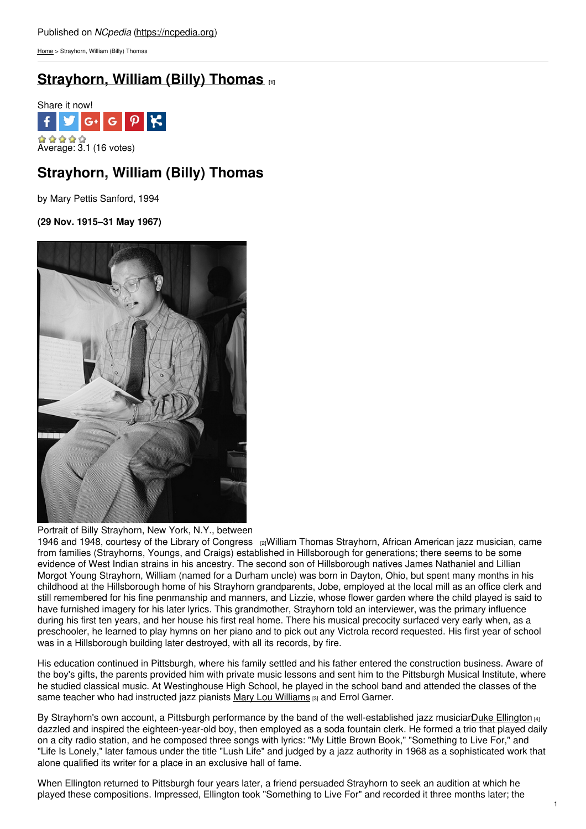[Home](https://ncpedia.org/) > Strayhorn, William (Billy) Thomas

# **[Strayhorn,](https://ncpedia.org/biography/strayhorn-billy) William (Billy) Thomas [1]**



## **Strayhorn, William (Billy) Thomas**

by Mary Pettis Sanford, 1994

**(29 Nov. 1915–31 May 1967)**



Portrait of Billy Strayhorn, New York, N.Y., between

1946 and 1948, courtesy of the Library of [Congress](https://www.flickr.com/photos/library_of_congress/4843145255/) [2]William Thomas Strayhorn, African American jazz musician, came from families (Strayhorns, Youngs, and Craigs) established in Hillsborough for generations; there seems to be some evidence of West Indian strains in his ancestry. The second son of Hillsborough natives James Nathaniel and Lillian Morgot Young Strayhorn, William (named for a Durham uncle) was born in Dayton, Ohio, but spent many months in his childhood at the Hillsborough home of his Strayhorn grandparents, Jobe, employed at the local mill as an office clerk and still remembered for his fine penmanship and manners, and Lizzie, whose flower garden where the child played is said to have furnished imagery for his later lyrics. This grandmother, Strayhorn told an interviewer, was the primary influence during his first ten years, and her house his first real home. There his musical precocity surfaced very early when, as a preschooler, he learned to play hymns on her piano and to pick out any Victrola record requested. His first year of school was in a Hillsborough building later destroyed, with all its records, by fire.

His education continued in Pittsburgh, where his family settled and his father entered the construction business. Aware of the boy's gifts, the parents provided him with private music lessons and sent him to the Pittsburgh Musical Institute, where he studied classical music. At Westinghouse High School, he played in the school band and attended the classes of the same teacher who had instructed jazz pianists Mary Lou [Williams](http://newarkwww.rutgers.edu/ijs/mlw/intro1.html) [3] and Errol Garner.

By Strayhorn's own account, a Pittsburgh performance by the band of the well-established jazz musiciarDuke [Ellington](http://www.dukeellington.com/) [4] dazzled and inspired the eighteen-year-old boy, then employed as a soda fountain clerk. He formed a trio that played daily on a city radio station, and he composed three songs with lyrics: "My Little Brown Book," "Something to Live For," and "Life Is Lonely," later famous under the title "Lush Life" and judged by a jazz authority in 1968 as a sophisticated work that alone qualified its writer for a place in an exclusive hall of fame.

When Ellington returned to Pittsburgh four years later, a friend persuaded Strayhorn to seek an audition at which he played these compositions. Impressed, Ellington took "Something to Live For" and recorded it three months later; the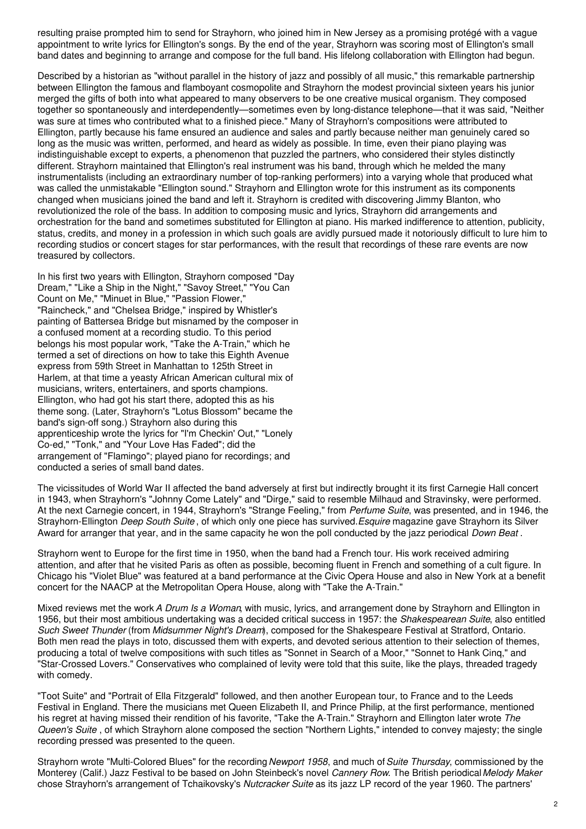resulting praise prompted him to send for Strayhorn, who joined him in New Jersey as a promising protégé with a vague appointment to write lyrics for Ellington's songs. By the end of the year, Strayhorn was scoring most of Ellington's small band dates and beginning to arrange and compose for the full band. His lifelong collaboration with Ellington had begun.

Described by a historian as "without parallel in the history of jazz and possibly of all music," this remarkable partnership between Ellington the famous and flamboyant cosmopolite and Strayhorn the modest provincial sixteen years his junior merged the gifts of both into what appeared to many observers to be one creative musical organism. They composed together so spontaneously and interdependently—sometimes even by long-distance telephone—that it was said, "Neither was sure at times who contributed what to a finished piece." Many of Strayhorn's compositions were attributed to Ellington, partly because his fame ensured an audience and sales and partly because neither man genuinely cared so long as the music was written, performed, and heard as widely as possible. In time, even their piano playing was indistinguishable except to experts, a phenomenon that puzzled the partners, who considered their styles distinctly different. Strayhorn maintained that Ellington's real instrument was his band, through which he melded the many instrumentalists (including an extraordinary number of top-ranking performers) into a varying whole that produced what was called the unmistakable "Ellington sound." Strayhorn and Ellington wrote for this instrument as its components changed when musicians joined the band and left it. Strayhorn is credited with discovering Jimmy Blanton, who revolutionized the role of the bass. In addition to composing music and lyrics, Strayhorn did arrangements and orchestration for the band and sometimes substituted for Ellington at piano. His marked indifference to attention, publicity, status, credits, and money in a profession in which such goals are avidly pursued made it notoriously difficult to lure him to recording studios or concert stages for star performances, with the result that recordings of these rare events are now treasured by collectors.

In his first two years with Ellington, Strayhorn composed "Day Dream," "Like a Ship in the Night," "Savoy Street," "You Can Count on Me," "Minuet in Blue," "Passion Flower," "Raincheck," and "Chelsea Bridge," inspired by Whistler's painting of Battersea Bridge but misnamed by the composer in a confused moment at a recording studio. To this period belongs his most popular work, "Take the A-Train," which he termed a set of directions on how to take this Eighth Avenue express from 59th Street in Manhattan to 125th Street in Harlem, at that time a yeasty African American cultural mix of musicians, writers, entertainers, and sports champions. Ellington, who had got his start there, adopted this as his theme song. (Later, Strayhorn's "Lotus Blossom" became the band's sign-off song.) Strayhorn also during this apprenticeship wrote the lyrics for "I'm Checkin' Out," "Lonely Co-ed," "Tonk," and "Your Love Has Faded"; did the arrangement of "Flamingo"; played piano for recordings; and conducted a series of small band dates.

The vicissitudes of World War II affected the band adversely at first but indirectly brought it its first Carnegie Hall concert in 1943, when Strayhorn's "Johnny Come Lately" and "Dirge," said to resemble Milhaud and Stravinsky, were performed. At the next Carnegie concert, in 1944, Strayhorn's "Strange Feeling," from *Perfume Suite*, was presented, and in 1946, the Strayhorn-Ellington *Deep South Suite* , of which only one piece has survived.*Esquire* magazine gave Strayhorn its Silver Award for arranger that year, and in the same capacity he won the poll conducted by the jazz periodical *Down Beat* .

Strayhorn went to Europe for the first time in 1950, when the band had a French tour. His work received admiring attention, and after that he visited Paris as often as possible, becoming fluent in French and something of a cult figure. In Chicago his "Violet Blue" was featured at a band performance at the Civic Opera House and also in New York at a benefit concert for the NAACP at the Metropolitan Opera House, along with "Take the A-Train."

Mixed reviews met the work *A Drum Is a Woman*, with music, lyrics, and arrangement done by Strayhorn and Ellington in 1956, but their most ambitious undertaking was a decided critical success in 1957: the *Shakespearean Suite*, also entitled *Such Sweet Thunder* (from *Midsummer Night's Dream*), composed for the Shakespeare Festival at Stratford, Ontario. Both men read the plays in toto, discussed them with experts, and devoted serious attention to their selection of themes, producing a total of twelve compositions with such titles as "Sonnet in Search of a Moor," "Sonnet to Hank Cinq," and "Star-Crossed Lovers." Conservatives who complained of levity were told that this suite, like the plays, threaded tragedy with comedy.

"Toot Suite" and "Portrait of Ella Fitzgerald" followed, and then another European tour, to France and to the Leeds Festival in England. There the musicians met Queen Elizabeth II, and Prince Philip, at the first performance, mentioned his regret at having missed their rendition of his favorite, "Take the A-Train." Strayhorn and Ellington later wrote *The Queen's Suite* , of which Strayhorn alone composed the section "Northern Lights," intended to convey majesty; the single recording pressed was presented to the queen.

Strayhorn wrote "Multi-Colored Blues" for the recording*Newport 1958*, and much of*Suite Thursday*, commissioned by the Monterey (Calif.) Jazz Festival to be based on John Steinbeck's novel *Cannery Row*. The British periodical*Melody Maker* chose Strayhorn's arrangement of Tchaikovsky's *Nutcracker Suite* as its jazz LP record of the year 1960. The partners'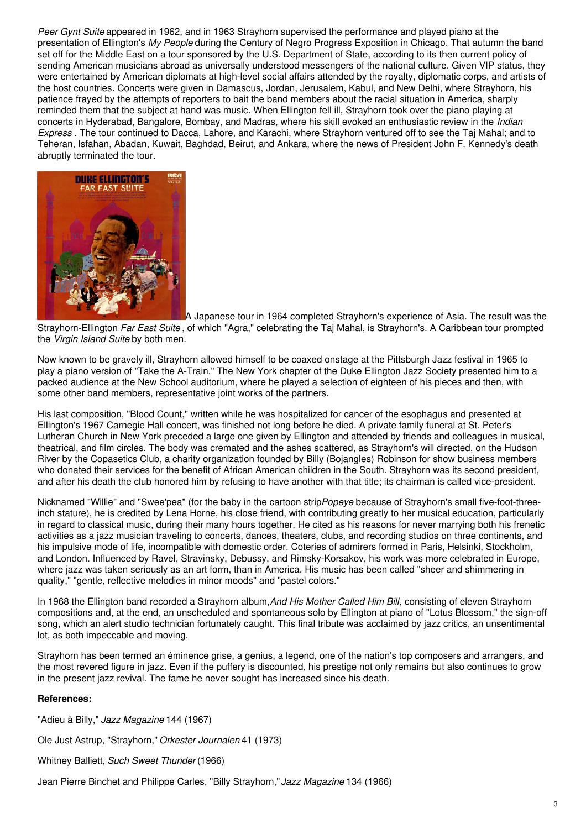*Peer Gynt Suite* appeared in 1962, and in 1963 Strayhorn supervised the performance and played piano at the presentation of Ellington's *My People* during the Century of Negro Progress Exposition in Chicago. That autumn the band set off for the Middle East on a tour sponsored by the U.S. Department of State, according to its then current policy of sending American musicians abroad as universally understood messengers of the national culture. Given VIP status, they were entertained by American diplomats at high-level social affairs attended by the royalty, diplomatic corps, and artists of the host countries. Concerts were given in Damascus, Jordan, Jerusalem, Kabul, and New Delhi, where Strayhorn, his patience frayed by the attempts of reporters to bait the band members about the racial situation in America, sharply reminded them that the subject at hand was music. When Ellington fell ill, Strayhorn took over the piano playing at concerts in Hyderabad, Bangalore, Bombay, and Madras, where his skill evoked an enthusiastic review in the *Indian Express* . The tour continued to Dacca, Lahore, and Karachi, where Strayhorn ventured off to see the Taj Mahal; and to Teheran, Isfahan, Abadan, Kuwait, Baghdad, Beirut, and Ankara, where the news of President John F. Kennedy's death abruptly terminated the tour.



A Japanese tour in 1964 completed Strayhorn's experience of Asia. The result was the Strayhorn-Ellington *Far East Suite* , of which "Agra," celebrating the Taj Mahal, is Strayhorn's. A Caribbean tour prompted the *Virgin Island Suite* by both men.

Now known to be gravely ill, Strayhorn allowed himself to be coaxed onstage at the Pittsburgh Jazz festival in 1965 to play a piano version of "Take the A-Train." The New York chapter of the Duke Ellington Jazz Society presented him to a packed audience at the New School auditorium, where he played a selection of eighteen of his pieces and then, with some other band members, representative joint works of the partners.

His last composition, "Blood Count," written while he was hospitalized for cancer of the esophagus and presented at Ellington's 1967 Carnegie Hall concert, was finished not long before he died. A private family funeral at St. Peter's Lutheran Church in New York preceded a large one given by Ellington and attended by friends and colleagues in musical, theatrical, and film circles. The body was cremated and the ashes scattered, as Strayhorn's will directed, on the Hudson River by the Copasetics Club, a charity organization founded by Billy (Bojangles) Robinson for show business members who donated their services for the benefit of African American children in the South. Strayhorn was its second president, and after his death the club honored him by refusing to have another with that title; its chairman is called vice-president.

Nicknamed "Willie" and "Swee'pea" (for the baby in the cartoon strip*Popeye* because of Strayhorn's small five-foot-threeinch stature), he is credited by Lena Horne, his close friend, with contributing greatly to her musical education, particularly in regard to classical music, during their many hours together. He cited as his reasons for never marrying both his frenetic activities as a jazz musician traveling to concerts, dances, theaters, clubs, and recording studios on three continents, and his impulsive mode of life, incompatible with domestic order. Coteries of admirers formed in Paris, Helsinki, Stockholm, and London. Influenced by Ravel, Stravinsky, Debussy, and Rimsky-Korsakov, his work was more celebrated in Europe, where jazz was taken seriously as an art form, than in America. His music has been called "sheer and shimmering in quality," "gentle, reflective melodies in minor moods" and "pastel colors."

In 1968 the Ellington band recorded a Strayhorn album,*And His Mother Called Him Bill*, consisting of eleven Strayhorn compositions and, at the end, an unscheduled and spontaneous solo by Ellington at piano of "Lotus Blossom," the sign-off song, which an alert studio technician fortunately caught. This final tribute was acclaimed by jazz critics, an unsentimental lot, as both impeccable and moving.

Strayhorn has been termed an éminence grise, a genius, a legend, one of the nation's top composers and arrangers, and the most revered figure in jazz. Even if the puffery is discounted, his prestige not only remains but also continues to grow in the present jazz revival. The fame he never sought has increased since his death.

### **References:**

"Adieu à Billy," *Jazz Magazine* 144 (1967) Ole Just Astrup, "Strayhorn," *Orkester Journalen* 41 (1973) Whitney Balliett, *Such Sweet Thunder* (1966) Jean Pierre Binchet and Philippe Carles, "Billy Strayhorn,"*Jazz Magazine* 134 (1966)